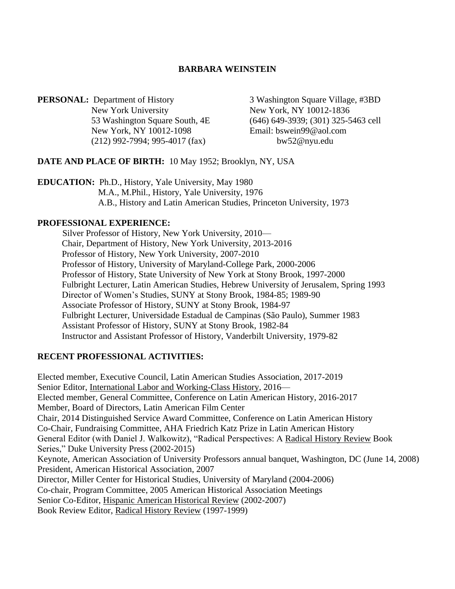#### **BARBARA WEINSTEIN**

**PERSONAL:** Department of History 3 Washington Square Village, #3BD New York University New York, NY 10012-1836 New York, NY 10012-1098 Email: bswein99@aol.com (212) 992-7994; 995-4017 (fax) bw52@nyu.edu

53 Washington Square South, 4E (646) 649-3939; (301) 325-5463 cell

#### **DATE AND PLACE OF BIRTH:** 10 May 1952; Brooklyn, NY, USA

**EDUCATION:** Ph.D., History, Yale University, May 1980 M.A., M.Phil., History, Yale University, 1976 A.B., History and Latin American Studies, Princeton University, 1973

#### **PROFESSIONAL EXPERIENCE:**

Silver Professor of History, New York University, 2010— Chair, Department of History, New York University, 2013-2016 Professor of History, New York University, 2007-2010 Professor of History, University of Maryland-College Park, 2000-2006 Professor of History, State University of New York at Stony Brook, 1997-2000 Fulbright Lecturer, Latin American Studies, Hebrew University of Jerusalem, Spring 1993 Director of Women's Studies, SUNY at Stony Brook, 1984-85; 1989-90 Associate Professor of History, SUNY at Stony Brook, 1984-97 Fulbright Lecturer, Universidade Estadual de Campinas (São Paulo), Summer 1983 Assistant Professor of History, SUNY at Stony Brook, 1982-84 Instructor and Assistant Professor of History, Vanderbilt University, 1979-82

#### **RECENT PROFESSIONAL ACTIVITIES:**

Elected member, Executive Council, Latin American Studies Association, 2017-2019 Senior Editor, International Labor and Working-Class History, 2016— Elected member, General Committee, Conference on Latin American History, 2016-2017 Member, Board of Directors, Latin American Film Center Chair, 2014 Distinguished Service Award Committee, Conference on Latin American History Co-Chair, Fundraising Committee, AHA Friedrich Katz Prize in Latin American History General Editor (with Daniel J. Walkowitz), "Radical Perspectives: A Radical History Review Book Series," Duke University Press (2002-2015) Keynote, American Association of University Professors annual banquet, Washington, DC (June 14, 2008) President, American Historical Association, 2007 Director, Miller Center for Historical Studies, University of Maryland (2004-2006) Co-chair, Program Committee, 2005 American Historical Association Meetings Senior Co-Editor, Hispanic American Historical Review (2002-2007) Book Review Editor, Radical History Review (1997-1999)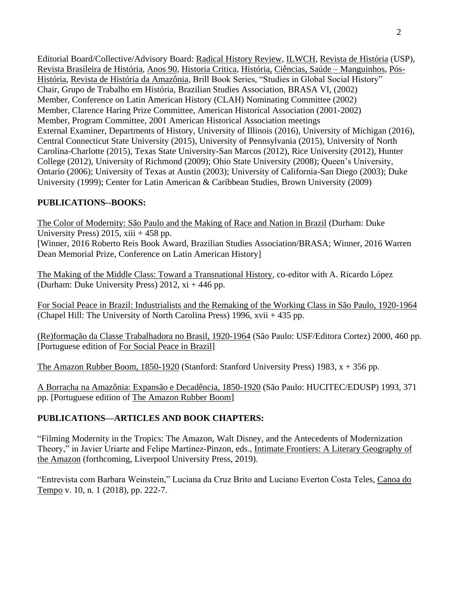Editorial Board/Collective/Advisory Board: Radical History Review, ILWCH, Revista de História (USP), Revista Brasileira de História, Anos 90, Historia Critica, História, Ciências, Saúde – Manguinhos, Pós-História, Revista de História da Amazônia, Brill Book Series, "Studies in Global Social History" Chair, Grupo de Trabalho em História, Brazilian Studies Association, BRASA VI, (2002) Member, Conference on Latin American History (CLAH) Nominating Committee (2002) Member, Clarence Haring Prize Committee, American Historical Association (2001-2002) Member, Program Committee, 2001 American Historical Association meetings External Examiner, Departments of History, University of Illinois (2016), University of Michigan (2016), Central Connecticut State University (2015), University of Pennsylvania (2015), University of North Carolina-Charlotte (2015), Texas State University-San Marcos (2012), Rice University (2012), Hunter College (2012), University of Richmond (2009); Ohio State University (2008); Queen's University, Ontario (2006); University of Texas at Austin (2003); University of California-San Diego (2003); Duke University (1999); Center for Latin American & Caribbean Studies, Brown University (2009)

### **PUBLICATIONS--BOOKS:**

The Color of Modernity: São Paulo and the Making of Race and Nation in Brazil (Durham: Duke University Press) 2015,  $xiii + 458$  pp. [Winner, 2016 Roberto Reis Book Award, Brazilian Studies Association/BRASA; Winner, 2016 Warren

Dean Memorial Prize, Conference on Latin American History]

The Making of the Middle Class: Toward a Transnational History, co-editor with A. Ricardo López (Durham: Duke University Press) 2012, xi + 446 pp.

For Social Peace in Brazil: Industrialists and the Remaking of the Working Class in São Paulo, 1920-1964 (Chapel Hill: The University of North Carolina Press) 1996, xvii + 435 pp.

(Re)formação da Classe Trabalhadora no Brasil, 1920-1964 (São Paulo: USF/Editora Cortez) 2000, 460 pp. [Portuguese edition of For Social Peace in Brazil]

The Amazon Rubber Boom, 1850-1920 (Stanford: Stanford University Press) 1983, x + 356 pp.

A Borracha na Amazônia: Expansão e Decadência, 1850-1920 (São Paulo: HUCITEC/EDUSP) 1993, 371 pp. [Portuguese edition of The Amazon Rubber Boom]

## **PUBLICATIONS—ARTICLES AND BOOK CHAPTERS:**

"Filming Modernity in the Tropics: The Amazon, Walt Disney, and the Antecedents of Modernization Theory," in Javier Uriarte and Felipe Martínez-Pinzon, eds., Intimate Frontiers: A Literary Geography of the Amazon (forthcoming, Liverpool University Press, 2019).

"Entrevista com Barbara Weinstein," Luciana da Cruz Brito and Luciano Everton Costa Teles, Canoa do Tempo v. 10, n. 1 (2018), pp. 222-7.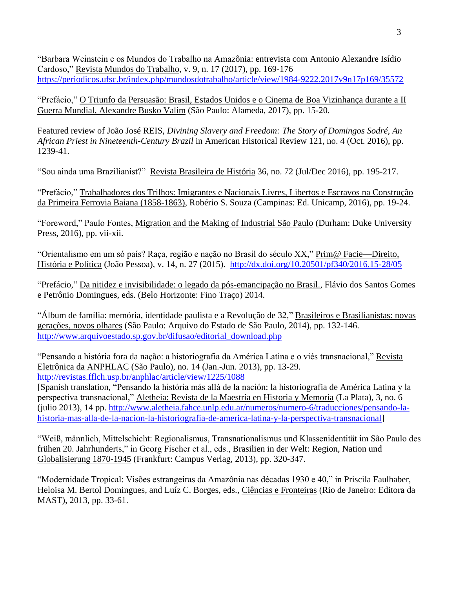"Barbara Weinstein e os Mundos do Trabalho na Amazônia: entrevista com Antonio Alexandre Isídio Cardoso," Revista Mundos do Trabalho, v. 9, n. 17 (2017), pp. 169-176 <https://periodicos.ufsc.br/index.php/mundosdotrabalho/article/view/1984-9222.2017v9n17p169/35572>

"Prefácio," O Triunfo da Persuasão: Brasil, Estados Unidos e o Cinema de Boa Vizinhança durante a II Guerra Mundial, Alexandre Busko Valim (São Paulo: Alameda, 2017), pp. 15-20.

Featured review of João José REIS, *Divining Slavery and Freedom: The Story of Domingos Sodré, An African Priest in Nineteenth-Century Brazil* in American Historical Review 121, no. 4 (Oct. 2016), pp. 1239-41.

"Sou ainda uma Brazilianist?" Revista Brasileira de História 36, no. 72 (Jul/Dec 2016), pp. 195-217.

"Prefácio," Trabalhadores dos Trilhos: Imigrantes e Nacionais Livres, Libertos e Escravos na Construção da Primeira Ferrovia Baiana (1858-1863), Robério S. Souza (Campinas: Ed. Unicamp, 2016), pp. 19-24.

"Foreword," Paulo Fontes, Migration and the Making of Industrial São Paulo (Durham: Duke University Press, 2016), pp. vii-xii.

"Orientalismo em um só país? Raça, região e nação no Brasil do século XX," Prim@ Facie—Direito, História e Política (João Pessoa), v. 14, n. 27 (2015). <http://dx.doi.org/10.20501/pf340/2016.15-28/05>

"Prefácio," Da nitidez e invisibilidade: o legado da pós-emancipação no Brasil., Flávio dos Santos Gomes e Petrônio Domingues, eds. (Belo Horizonte: Fino Traço) 2014.

"Álbum de família: memória, identidade paulista e a Revolução de 32," Brasileiros e Brasilianistas: novas gerações, novos olhares (São Paulo: Arquivo do Estado de São Paulo, 2014), pp. 132-146. [http://www.arquivoestado.sp.gov.br/difusao/editorial\\_download.php](http://www.arquivoestado.sp.gov.br/difusao/editorial_download.php)

"Pensando a história fora da nação: a historiografia da América Latina e o viés transnacional," Revista Eletrônica da ANPHLAC (São Paulo), no. 14 (Jan.-Jun. 2013), pp. 13-29. <http://revistas.fflch.usp.br/anphlac/article/view/1225/1088>

[Spanish translation, "Pensando la história más allá de la nación: la historiografia de América Latina y la perspectiva transnacional," Aletheia: Revista de la Maestría en Historia y Memoria (La Plata), 3, no. 6 (julio 2013), 14 pp. [http://www.aletheia.fahce.unlp.edu.ar/numeros/numero-6/traducciones/pensando-la](http://www.aletheia.fahce.unlp.edu.ar/numeros/numero-6/traducciones/pensando-la-historia-mas-alla-de-la-nacion-la-historiografia-de-america-latina-y-la-perspectiva-transnacional)[historia-mas-alla-de-la-nacion-la-historiografia-de-america-latina-y-la-perspectiva-transnacional\]](http://www.aletheia.fahce.unlp.edu.ar/numeros/numero-6/traducciones/pensando-la-historia-mas-alla-de-la-nacion-la-historiografia-de-america-latina-y-la-perspectiva-transnacional)

"Weiß, männlich, Mittelschicht: Regionalismus, Transnationalismus und Klassenidentität im São Paulo des frühen 20. Jahrhunderts," in Georg Fischer et al., eds., Brasilien in der Welt: Region, Nation und Globalisierung 1870-1945 (Frankfurt: Campus Verlag, 2013), pp. 320-347.

"Modernidade Tropical: Visões estrangeiras da Amazônia nas décadas 1930 e 40," in Priscila Faulhaber, Heloisa M. Bertol Domingues, and Luíz C. Borges, eds., Ciências e Fronteiras (Rio de Janeiro: Editora da MAST), 2013, pp. 33-61.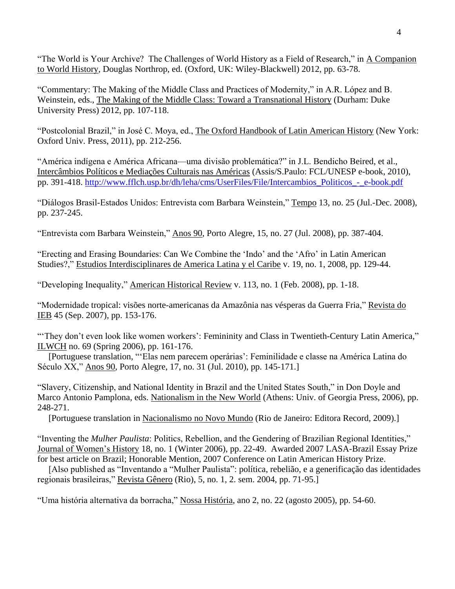"The World is Your Archive? The Challenges of World History as a Field of Research," in A Companion to World History, Douglas Northrop, ed. (Oxford, UK: Wiley-Blackwell) 2012, pp. 63-78.

"Commentary: The Making of the Middle Class and Practices of Modernity," in A.R. López and B. Weinstein, eds., The Making of the Middle Class: Toward a Transnational History (Durham: Duke University Press) 2012, pp. 107-118.

"Postcolonial Brazil," in José C. Moya, ed., The Oxford Handbook of Latin American History (New York: Oxford Univ. Press, 2011), pp. 212-256.

"América indígena e América Africana—uma divisão problemática?" in J.L. Bendicho Beired, et al., Intercâmbios Políticos e Mediações Culturais nas Américas (Assis/S.Paulo: FCL/UNESP e-book, 2010), pp. 391-418. [http://www.fflch.usp.br/dh/leha/cms/UserFiles/File/Intercambios\\_Politicos\\_-\\_e-book.pdf](http://www.fflch.usp.br/dh/leha/cms/UserFiles/File/Intercambios_Politicos_-_e-book.pdf)

"Diálogos Brasil-Estados Unidos: Entrevista com Barbara Weinstein," Tempo 13, no. 25 (Jul.-Dec. 2008), pp. 237-245.

"Entrevista com Barbara Weinstein," Anos 90, Porto Alegre, 15, no. 27 (Jul. 2008), pp. 387-404.

"Erecting and Erasing Boundaries: Can We Combine the 'Indo' and the 'Afro' in Latin American Studies?," Estudios Interdisciplinares de America Latina y el Caribe v. 19, no. 1, 2008, pp. 129-44.

"Developing Inequality," American Historical Review v. 113, no. 1 (Feb. 2008), pp. 1-18.

"Modernidade tropical: visões norte-americanas da Amazônia nas vésperas da Guerra Fria," Revista do IEB 45 (Sep. 2007), pp. 153-176.

"They don't even look like women workers': Femininity and Class in Twentieth-Century Latin America," ILWCH no. 69 (Spring 2006), pp. 161-176.

 [Portuguese translation, "'Elas nem parecem operárias': Feminilidade e classe na América Latina do Século XX," Anos 90, Porto Alegre, 17, no. 31 (Jul. 2010), pp. 145-171.]

"Slavery, Citizenship, and National Identity in Brazil and the United States South," in Don Doyle and Marco Antonio Pamplona, eds. Nationalism in the New World (Athens: Univ. of Georgia Press, 2006), pp. 248-271.

[Portuguese translation in Nacionalismo no Novo Mundo (Rio de Janeiro: Editora Record, 2009).]

"Inventing the *Mulher Paulista*: Politics, Rebellion, and the Gendering of Brazilian Regional Identities," Journal of Women's History 18, no. 1 (Winter 2006), pp. 22-49. Awarded 2007 LASA-Brazil Essay Prize for best article on Brazil; Honorable Mention, 2007 Conference on Latin American History Prize.

 [Also published as "Inventando a "Mulher Paulista": política, rebelião, e a generificação das identidades regionais brasileiras," Revista Gênero (Rio), 5, no. 1, 2. sem. 2004, pp. 71-95.]

"Uma história alternativa da borracha," Nossa História, ano 2, no. 22 (agosto 2005), pp. 54-60.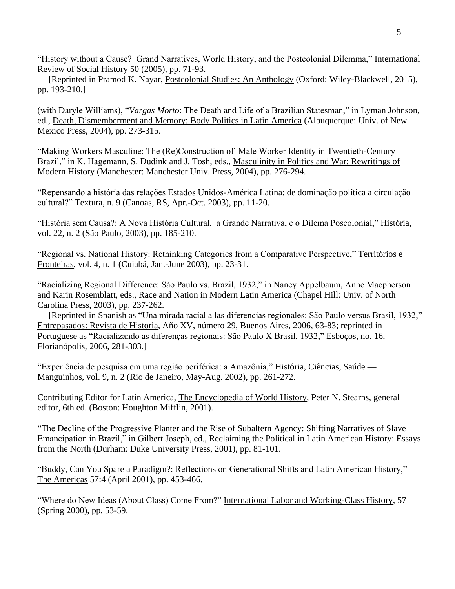"History without a Cause? Grand Narratives, World History, and the Postcolonial Dilemma," International Review of Social History 50 (2005), pp. 71-93.

 [Reprinted in Pramod K. Nayar, Postcolonial Studies: An Anthology (Oxford: Wiley-Blackwell, 2015), pp. 193-210.]

(with Daryle Williams), "*Vargas Morto*: The Death and Life of a Brazilian Statesman," in Lyman Johnson, ed., Death, Dismemberment and Memory: Body Politics in Latin America (Albuquerque: Univ. of New Mexico Press, 2004), pp. 273-315.

"Making Workers Masculine: The (Re)Construction of Male Worker Identity in Twentieth-Century Brazil," in K. Hagemann, S. Dudink and J. Tosh, eds., Masculinity in Politics and War: Rewritings of Modern History (Manchester: Manchester Univ. Press, 2004), pp. 276-294.

"Repensando a história das relações Estados Unidos-América Latina: de dominação política a circulação cultural?" Textura, n. 9 (Canoas, RS, Apr.-Oct. 2003), pp. 11-20.

"História sem Causa?: A Nova História Cultural, a Grande Narrativa, e o Dilema Poscolonial," História, vol. 22, n. 2 (São Paulo, 2003), pp. 185-210.

"Regional vs. National History: Rethinking Categories from a Comparative Perspective," Territórios e Fronteiras, vol. 4, n. 1 (Cuiabá, Jan.-June 2003), pp. 23-31.

"Racializing Regional Difference: São Paulo vs. Brazil, 1932," in Nancy Appelbaum, Anne Macpherson and Karin Rosemblatt, eds., Race and Nation in Modern Latin America (Chapel Hill: Univ. of North Carolina Press, 2003), pp. 237-262.

 [Reprinted in Spanish as "Una mirada racial a las diferencias regionales: São Paulo versus Brasil, 1932," Entrepasados: Revista de Historia, Año XV, número 29, Buenos Aires, 2006, 63-83; reprinted in Portuguese as "Racializando as diferenças regionais: São Paulo X Brasil, 1932," Esboços, no. 16, Florianópolis, 2006, 281-303.]

"Experiência de pesquisa em uma região periférica: a Amazônia," História, Ciências, Saúde — Manguinhos, vol. 9, n. 2 (Rio de Janeiro, May-Aug. 2002), pp. 261-272.

Contributing Editor for Latin America, The Encyclopedia of World History, Peter N. Stearns, general editor, 6th ed. (Boston: Houghton Mifflin, 2001).

"The Decline of the Progressive Planter and the Rise of Subaltern Agency: Shifting Narratives of Slave Emancipation in Brazil," in Gilbert Joseph, ed., Reclaiming the Political in Latin American History: Essays from the North (Durham: Duke University Press, 2001), pp. 81-101.

"Buddy, Can You Spare a Paradigm?: Reflections on Generational Shifts and Latin American History," The Americas 57:4 (April 2001), pp. 453-466.

"Where do New Ideas (About Class) Come From?" International Labor and Working-Class History, 57 (Spring 2000), pp. 53-59.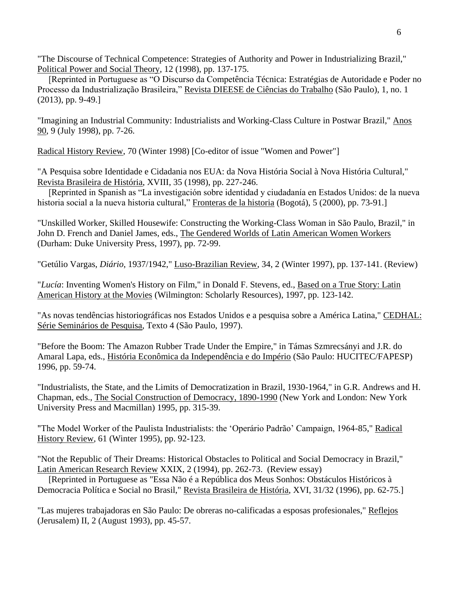"The Discourse of Technical Competence: Strategies of Authority and Power in Industrializing Brazil," Political Power and Social Theory, 12 (1998), pp. 137-175.

 [Reprinted in Portuguese as "O Discurso da Competência Técnica: Estratégias de Autoridade e Poder no Processo da Industrialização Brasileira," Revista DIEESE de Ciências do Trabalho (São Paulo), 1, no. 1 (2013), pp. 9-49.]

"Imagining an Industrial Community: Industrialists and Working-Class Culture in Postwar Brazil," Anos 90, 9 (July 1998), pp. 7-26.

Radical History Review, 70 (Winter 1998) [Co-editor of issue "Women and Power"]

"A Pesquisa sobre Identidade e Cidadania nos EUA: da Nova História Social à Nova História Cultural," Revista Brasileira de História, XVIII, 35 (1998), pp. 227-246.

 [Reprinted in Spanish as "La investigación sobre identidad y ciudadanía en Estados Unidos: de la nueva historia social a la nueva historia cultural," Fronteras de la historia (Bogotá), 5 (2000), pp. 73-91.]

"Unskilled Worker, Skilled Housewife: Constructing the Working-Class Woman in São Paulo, Brazil," in John D. French and Daniel James, eds., The Gendered Worlds of Latin American Women Workers (Durham: Duke University Press, 1997), pp. 72-99.

"Getúlio Vargas, *Diário*, 1937/1942," Luso-Brazilian Review, 34, 2 (Winter 1997), pp. 137-141. (Review)

"*Lucía*: Inventing Women's History on Film," in Donald F. Stevens, ed., Based on a True Story: Latin American History at the Movies (Wilmington: Scholarly Resources), 1997, pp. 123-142.

"As novas tendências historiográficas nos Estados Unidos e a pesquisa sobre a América Latina," CEDHAL: Série Seminários de Pesquisa, Texto 4 (São Paulo, 1997).

"Before the Boom: The Amazon Rubber Trade Under the Empire," in Támas Szmrecsányi and J.R. do Amaral Lapa, eds., História Econômica da Independência e do Império (São Paulo: HUCITEC/FAPESP) 1996, pp. 59-74.

"Industrialists, the State, and the Limits of Democratization in Brazil, 1930-1964," in G.R. Andrews and H. Chapman, eds., The Social Construction of Democracy, 1890-1990 (New York and London: New York University Press and Macmillan) 1995, pp. 315-39.

"The Model Worker of the Paulista Industrialists: the 'Operário Padrão' Campaign, 1964-85," Radical History Review, 61 (Winter 1995), pp. 92-123.

"Not the Republic of Their Dreams: Historical Obstacles to Political and Social Democracy in Brazil," Latin American Research Review XXIX, 2 (1994), pp. 262-73. (Review essay)

 [Reprinted in Portuguese as "Essa Não é a República dos Meus Sonhos: Obstáculos Históricos à Democracia Política e Social no Brasil," Revista Brasileira de História, XVI, 31/32 (1996), pp. 62-75.]

"Las mujeres trabajadoras en São Paulo: De obreras no-calificadas a esposas profesionales," Reflejos (Jerusalem) II, 2 (August 1993), pp. 45-57.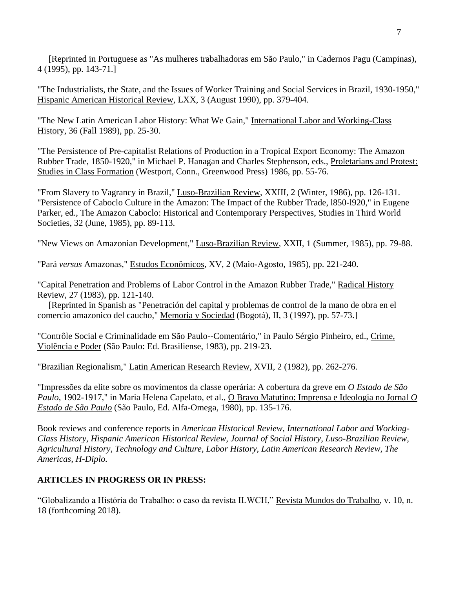[Reprinted in Portuguese as "As mulheres trabalhadoras em São Paulo," in Cadernos Pagu (Campinas), 4 (1995), pp. 143-71.]

"The Industrialists, the State, and the Issues of Worker Training and Social Services in Brazil, 1930-1950," Hispanic American Historical Review, LXX, 3 (August 1990), pp. 379-404.

"The New Latin American Labor History: What We Gain," International Labor and Working-Class History, 36 (Fall 1989), pp. 25-30.

"The Persistence of Pre-capitalist Relations of Production in a Tropical Export Economy: The Amazon Rubber Trade, 1850-1920," in Michael P. Hanagan and Charles Stephenson, eds., Proletarians and Protest: Studies in Class Formation (Westport, Conn., Greenwood Press) 1986, pp. 55-76.

"From Slavery to Vagrancy in Brazil," Luso-Brazilian Review, XXIII, 2 (Winter, 1986), pp. 126-131. "Persistence of Caboclo Culture in the Amazon: The Impact of the Rubber Trade, l850-l920," in Eugene Parker, ed., The Amazon Caboclo: Historical and Contemporary Perspectives, Studies in Third World Societies, 32 (June, 1985), pp. 89-113.

"New Views on Amazonian Development," Luso-Brazilian Review, XXII, 1 (Summer, 1985), pp. 79-88.

"Pará *versus* Amazonas," Estudos Econômicos, XV, 2 (Maio-Agosto, 1985), pp. 221-240.

"Capital Penetration and Problems of Labor Control in the Amazon Rubber Trade," Radical History Review, 27 (1983), pp. 121-140.

 [Reprinted in Spanish as "Penetración del capital y problemas de control de la mano de obra en el comercio amazonico del caucho," Memoria y Sociedad (Bogotá), II, 3 (1997), pp. 57-73.]

"Contrôle Social e Criminalidade em São Paulo--Comentário," in Paulo Sérgio Pinheiro, ed., Crime, Violência e Poder (São Paulo: Ed. Brasiliense, 1983), pp. 219-23.

"Brazilian Regionalism," Latin American Research Review, XVII, 2 (1982), pp. 262-276.

"Impressões da elite sobre os movimentos da classe operária: A cobertura da greve em *O Estado de São Paulo*, 1902-1917," in Maria Helena Capelato, et al., O Bravo Matutino: Imprensa e Ideologia no Jornal *O Estado de São Paulo* (São Paulo, Ed. Alfa-Omega, 1980), pp. 135-176.

Book reviews and conference reports in *American Historical Review, International Labor and Working-Class History, Hispanic American Historical Review, Journal of Social History, Luso-Brazilian Review, Agricultural History, Technology and Culture, Labor History, Latin American Research Review, The Americas, H-Diplo.*

## **ARTICLES IN PROGRESS OR IN PRESS:**

"Globalizando a História do Trabalho: o caso da revista ILWCH," Revista Mundos do Trabalho, v. 10, n. 18 (forthcoming 2018).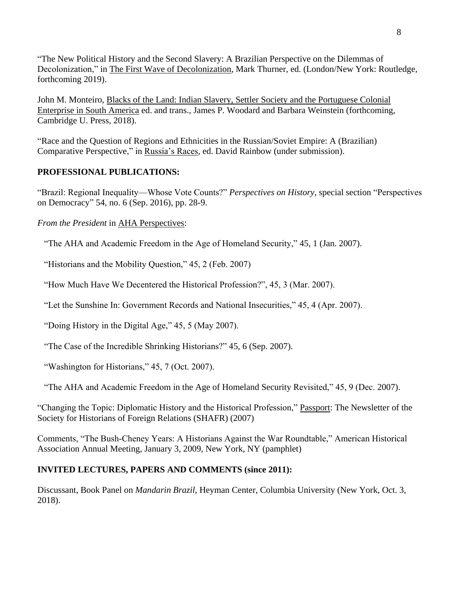"The New Political History and the Second Slavery: A Brazilian Perspective on the Dilemmas of Decolonization," in The First Wave of Decolonization, Mark Thurner, ed. (London/New York: Routledge, forthcoming 2019).

John M. Monteiro, Blacks of the Land: Indian Slavery, Settler Society and the Portuguese Colonial Enterprise in South America ed. and trans., James P. Woodard and Barbara Weinstein (forthcoming, Cambridge U. Press, 2018).

"Race and the Question of Regions and Ethnicities in the Russian/Soviet Empire: A (Brazilian) Comparative Perspective," in Russia's Races, ed. David Rainbow (under submission).

## **PROFESSIONAL PUBLICATIONS:**

"Brazil: Regional Inequality—Whose Vote Counts?" *Perspectives on History*, special section "Perspectives on Democracy" 54, no. 6 (Sep. 2016), pp. 28-9.

*From the President* in AHA Perspectives:

"The AHA and Academic Freedom in the Age of Homeland Security," 45, 1 (Jan. 2007).

"Historians and the Mobility Question," 45, 2 (Feb. 2007)

"How Much Have We Decentered the Historical Profession?", 45, 3 (Mar. 2007).

"Let the Sunshine In: Government Records and National Insecurities," 45, 4 (Apr. 2007).

"Doing History in the Digital Age," 45, 5 (May 2007).

"The Case of the Incredible Shrinking Historians?" 45, 6 (Sep. 2007).

"Washington for Historians," 45, 7 (Oct. 2007).

"The AHA and Academic Freedom in the Age of Homeland Security Revisited," 45, 9 (Dec. 2007).

"Changing the Topic: Diplomatic History and the Historical Profession," Passport: The Newsletter of the Society for Historians of Foreign Relations (SHAFR) (2007)

Comments, "The Bush-Cheney Years: A Historians Against the War Roundtable," American Historical Association Annual Meeting, January 3, 2009, New York, NY (pamphlet)

### **INVITED LECTURES, PAPERS AND COMMENTS (since 2011):**

Discussant, Book Panel on *Mandarin Brazil*, Heyman Center, Columbia University (New York, Oct. 3, 2018).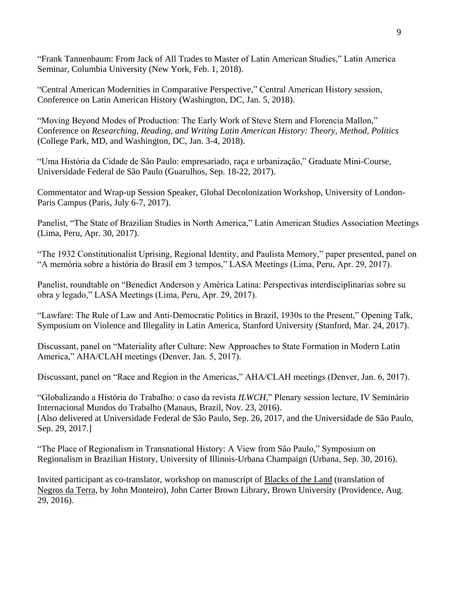"Frank Tannenbaum: From Jack of All Trades to Master of Latin American Studies," Latin America Seminar, Columbia University (New York, Feb. 1, 2018).

"Central American Modernities in Comparative Perspective," Central American History session, Conference on Latin American History (Washington, DC, Jan. 5, 2018).

"Moving Beyond Modes of Production: The Early Work of Steve Stern and Florencia Mallon," Conference on *Researching, Reading, and Writing Latin American History: Theory, Method, Politics* (College Park, MD, and Washington, DC, Jan. 3-4, 2018).

"Uma História da Cidade de São Paulo: empresariado, raça e urbanização," Graduate Mini-Course, Universidade Federal de São Paulo (Guarulhos, Sep. 18-22, 2017).

Commentator and Wrap-up Session Speaker, Global Decolonization Workshop, University of London-Paris Campus (Paris, July 6-7, 2017).

Panelist, "The State of Brazilian Studies in North America," Latin American Studies Association Meetings (Lima, Peru, Apr. 30, 2017).

"The 1932 Constitutionalist Uprising, Regional Identity, and Paulista Memory," paper presented, panel on "A memória sobre a história do Brasil em 3 tempos," LASA Meetings (Lima, Peru, Apr. 29, 2017).

Panelist, roundtable on "Benedict Anderson y América Latina: Perspectivas interdisciplinarias sobre su obra y legado," LASA Meetings (Lima, Peru, Apr. 29, 2017).

"Lawfare: The Rule of Law and Anti-Democratic Politics in Brazil, 1930s to the Present," Opening Talk, Symposium on Violence and Illegality in Latin America, Stanford University (Stanford, Mar. 24, 2017).

Discussant, panel on "Materiality after Culture: New Approaches to State Formation in Modern Latin America," AHA/CLAH meetings (Denver, Jan. 5, 2017).

Discussant, panel on "Race and Region in the Americas," AHA/CLAH meetings (Denver, Jan. 6, 2017).

"Globalizando a História do Trabalho: o caso da revista *ILWCH*," Plenary session lecture, IV Seminário Internacional Mundos do Trabalho (Manaus, Brazil, Nov. 23, 2016). [Also delivered at Universidade Federal de São Paulo, Sep. 26, 2017, and the Universidade de São Paulo, Sep. 29, 2017.]

"The Place of Regionalism in Transnational History: A View from São Paulo," Symposium on Regionalism in Brazilian History, University of Illinois-Urbana Champaign (Urbana, Sep. 30, 2016).

Invited participant as co-translator, workshop on manuscript of Blacks of the Land (translation of Negros da Terra, by John Monteiro), John Carter Brown Library, Brown University (Providence, Aug. 29, 2016).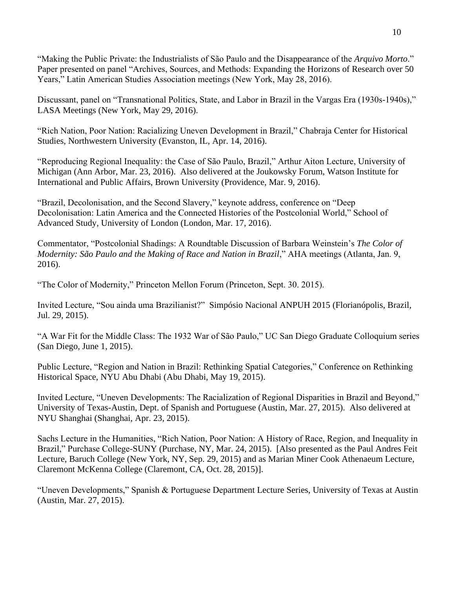"Making the Public Private: the Industrialists of São Paulo and the Disappearance of the *Arquivo Morto*." Paper presented on panel "Archives, Sources, and Methods: Expanding the Horizons of Research over 50 Years," Latin American Studies Association meetings (New York, May 28, 2016).

Discussant, panel on "Transnational Politics, State, and Labor in Brazil in the Vargas Era (1930s-1940s)," LASA Meetings (New York, May 29, 2016).

"Rich Nation, Poor Nation: Racializing Uneven Development in Brazil," Chabraja Center for Historical Studies, Northwestern University (Evanston, IL, Apr. 14, 2016).

"Reproducing Regional Inequality: the Case of São Paulo, Brazil," Arthur Aiton Lecture, University of Michigan (Ann Arbor, Mar. 23, 2016). Also delivered at the Joukowsky Forum, Watson Institute for International and Public Affairs, Brown University (Providence, Mar. 9, 2016).

"Brazil, Decolonisation, and the Second Slavery," keynote address, conference on "Deep Decolonisation: Latin America and the Connected Histories of the Postcolonial World," School of Advanced Study, University of London (London, Mar. 17, 2016).

Commentator, "Postcolonial Shadings: A Roundtable Discussion of Barbara Weinstein's *The Color of Modernity: São Paulo and the Making of Race and Nation in Brazil*," AHA meetings (Atlanta, Jan. 9, 2016).

"The Color of Modernity," Princeton Mellon Forum (Princeton, Sept. 30. 2015).

Invited Lecture, "Sou ainda uma Brazilianist?" Simpósio Nacional ANPUH 2015 (Florianópolis, Brazil, Jul. 29, 2015).

"A War Fit for the Middle Class: The 1932 War of São Paulo," UC San Diego Graduate Colloquium series (San Diego, June 1, 2015).

Public Lecture, "Region and Nation in Brazil: Rethinking Spatial Categories," Conference on Rethinking Historical Space, NYU Abu Dhabi (Abu Dhabi, May 19, 2015).

Invited Lecture, "Uneven Developments: The Racialization of Regional Disparities in Brazil and Beyond," University of Texas-Austin, Dept. of Spanish and Portuguese (Austin, Mar. 27, 2015). Also delivered at NYU Shanghai (Shanghai, Apr. 23, 2015).

Sachs Lecture in the Humanities, "Rich Nation, Poor Nation: A History of Race, Region, and Inequality in Brazil," Purchase College-SUNY (Purchase, NY, Mar. 24, 2015). [Also presented as the Paul Andres Feit Lecture, Baruch College (New York, NY, Sep. 29, 2015) and as Marian Miner Cook Athenaeum Lecture, Claremont McKenna College (Claremont, CA, Oct. 28, 2015)].

"Uneven Developments," Spanish & Portuguese Department Lecture Series, University of Texas at Austin (Austin, Mar. 27, 2015).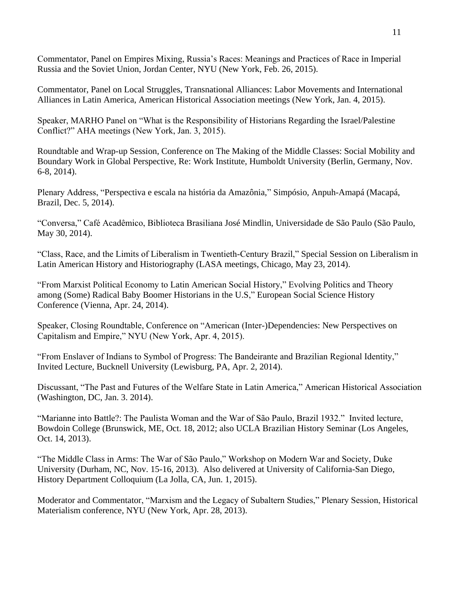Commentator, Panel on Empires Mixing, Russia's Races: Meanings and Practices of Race in Imperial Russia and the Soviet Union, Jordan Center, NYU (New York, Feb. 26, 2015).

Commentator, Panel on Local Struggles, Transnational Alliances: Labor Movements and International Alliances in Latin America, American Historical Association meetings (New York, Jan. 4, 2015).

Speaker, MARHO Panel on "What is the Responsibility of Historians Regarding the Israel/Palestine Conflict?" AHA meetings (New York, Jan. 3, 2015).

Roundtable and Wrap-up Session, Conference on The Making of the Middle Classes: Social Mobility and Boundary Work in Global Perspective, Re: Work Institute, Humboldt University (Berlin, Germany, Nov. 6-8, 2014).

Plenary Address, "Perspectiva e escala na história da Amazônia," Simpósio, Anpuh-Amapá (Macapá, Brazil, Dec. 5, 2014).

"Conversa," Café Acadêmico, Biblioteca Brasiliana José Mindlin, Universidade de São Paulo (São Paulo, May 30, 2014).

"Class, Race, and the Limits of Liberalism in Twentieth-Century Brazil," Special Session on Liberalism in Latin American History and Historiography (LASA meetings, Chicago, May 23, 2014).

"From Marxist Political Economy to Latin American Social History," Evolving Politics and Theory among (Some) Radical Baby Boomer Historians in the U.S," European Social Science History Conference (Vienna, Apr. 24, 2014).

Speaker, Closing Roundtable, Conference on "American (Inter-)Dependencies: New Perspectives on Capitalism and Empire," NYU (New York, Apr. 4, 2015).

"From Enslaver of Indians to Symbol of Progress: The Bandeirante and Brazilian Regional Identity," Invited Lecture, Bucknell University (Lewisburg, PA, Apr. 2, 2014).

Discussant, "The Past and Futures of the Welfare State in Latin America," American Historical Association (Washington, DC, Jan. 3. 2014).

"Marianne into Battle?: The Paulista Woman and the War of São Paulo, Brazil 1932." Invited lecture, Bowdoin College (Brunswick, ME, Oct. 18, 2012; also UCLA Brazilian History Seminar (Los Angeles, Oct. 14, 2013).

"The Middle Class in Arms: The War of São Paulo," Workshop on Modern War and Society, Duke University (Durham, NC, Nov. 15-16, 2013). Also delivered at University of California-San Diego, History Department Colloquium (La Jolla, CA, Jun. 1, 2015).

Moderator and Commentator, "Marxism and the Legacy of Subaltern Studies," Plenary Session, Historical Materialism conference, NYU (New York, Apr. 28, 2013).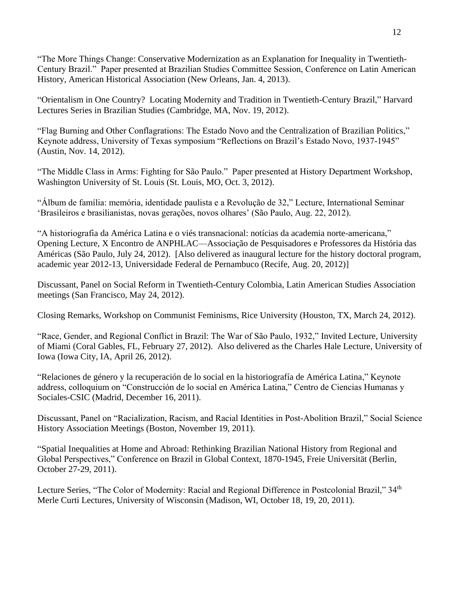"The More Things Change: Conservative Modernization as an Explanation for Inequality in Twentieth-Century Brazil." Paper presented at Brazilian Studies Committee Session, Conference on Latin American History, American Historical Association (New Orleans, Jan. 4, 2013).

"Orientalism in One Country? Locating Modernity and Tradition in Twentieth-Century Brazil," Harvard Lectures Series in Brazilian Studies (Cambridge, MA, Nov. 19, 2012).

"Flag Burning and Other Conflagrations: The Estado Novo and the Centralization of Brazilian Politics," Keynote address, University of Texas symposium "Reflections on Brazil's Estado Novo, 1937-1945" (Austin, Nov. 14, 2012).

"The Middle Class in Arms: Fighting for São Paulo." Paper presented at History Department Workshop, Washington University of St. Louis (St. Louis, MO, Oct. 3, 2012).

"Álbum de família: memória, identidade paulista e a Revolução de 32," Lecture, International Seminar 'Brasileiros e brasilianistas, novas gerações, novos olhares' (São Paulo, Aug. 22, 2012).

"A historiografia da América Latina e o viés transnacional: notícias da academia norte-americana," Opening Lecture, X Encontro de ANPHLAC—Associação de Pesquisadores e Professores da História das Américas (São Paulo, July 24, 2012). [Also delivered as inaugural lecture for the history doctoral program, academic year 2012-13, Universidade Federal de Pernambuco (Recife, Aug. 20, 2012)]

Discussant, Panel on Social Reform in Twentieth-Century Colombia, Latin American Studies Association meetings (San Francisco, May 24, 2012).

Closing Remarks, Workshop on Communist Feminisms, Rice University (Houston, TX, March 24, 2012).

"Race, Gender, and Regional Conflict in Brazil: The War of São Paulo, 1932," Invited Lecture, University of Miami (Coral Gables, FL, February 27, 2012). Also delivered as the Charles Hale Lecture, University of Iowa (Iowa City, IA, April 26, 2012).

"Relaciones de género y la recuperación de lo social en la historiografía de América Latina," Keynote address, colloquium on "Construcción de lo social en América Latina," Centro de Ciencias Humanas y Sociales-CSIC (Madrid, December 16, 2011).

Discussant, Panel on "Racialization, Racism, and Racial Identities in Post-Abolition Brazil," Social Science History Association Meetings (Boston, November 19, 2011).

"Spatial Inequalities at Home and Abroad: Rethinking Brazilian National History from Regional and Global Perspectives," Conference on Brazil in Global Context, 1870-1945, Freie Universität (Berlin, October 27-29, 2011).

Lecture Series, "The Color of Modernity: Racial and Regional Difference in Postcolonial Brazil," 34<sup>th</sup> Merle Curti Lectures, University of Wisconsin (Madison, WI, October 18, 19, 20, 2011).